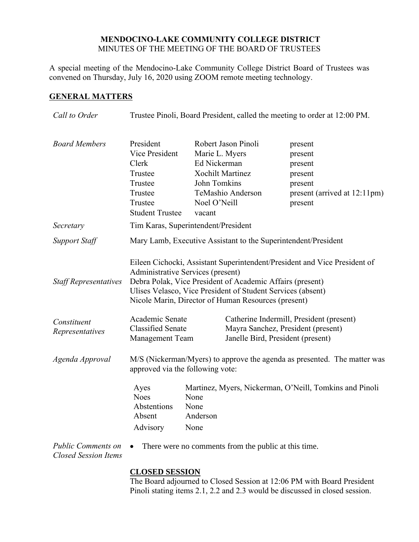## **MENDOCINO-LAKE COMMUNITY COLLEGE DISTRICT** MINUTES OF THE MEETING OF THE BOARD OF TRUSTEES

A special meeting of the Mendocino-Lake Community College District Board of Trustees was convened on Thursday, July 16, 2020 using ZOOM remote meeting technology.

# **GENERAL MATTERS**

| Call to Order                                            | Trustee Pinoli, Board President, called the meeting to order at 12:00 PM.                                                                                                                                                                                                                         |                                                                          |                                                                                                                     |                                                                                                |  |
|----------------------------------------------------------|---------------------------------------------------------------------------------------------------------------------------------------------------------------------------------------------------------------------------------------------------------------------------------------------------|--------------------------------------------------------------------------|---------------------------------------------------------------------------------------------------------------------|------------------------------------------------------------------------------------------------|--|
| <b>Board Members</b>                                     | President<br>Vice President<br>Clerk<br>Trustee<br>Trustee<br>Trustee<br>Trustee<br><b>Student Trustee</b>                                                                                                                                                                                        | Marie L. Myers<br>Ed Nickerman<br>John Tomkins<br>Noel O'Neill<br>vacant | Robert Jason Pinoli<br><b>Xochilt Martinez</b><br>TeMashio Anderson                                                 | present<br>present<br>present<br>present<br>present<br>present (arrived at 12:11pm)<br>present |  |
| Secretary                                                | Tim Karas, Superintendent/President                                                                                                                                                                                                                                                               |                                                                          |                                                                                                                     |                                                                                                |  |
| <b>Support Staff</b>                                     | Mary Lamb, Executive Assistant to the Superintendent/President                                                                                                                                                                                                                                    |                                                                          |                                                                                                                     |                                                                                                |  |
| <b>Staff Representatives</b>                             | Eileen Cichocki, Assistant Superintendent/President and Vice President of<br>Administrative Services (present)<br>Debra Polak, Vice President of Academic Affairs (present)<br>Ulises Velasco, Vice President of Student Services (absent)<br>Nicole Marin, Director of Human Resources (present) |                                                                          |                                                                                                                     |                                                                                                |  |
| Constituent<br>Representatives                           | Academic Senate<br><b>Classified Senate</b><br><b>Management Team</b>                                                                                                                                                                                                                             |                                                                          | Catherine Indermill, President (present)<br>Mayra Sanchez, President (present)<br>Janelle Bird, President (present) |                                                                                                |  |
| Agenda Approval                                          | M/S (Nickerman/Myers) to approve the agenda as presented. The matter was<br>approved via the following vote:                                                                                                                                                                                      |                                                                          |                                                                                                                     |                                                                                                |  |
|                                                          | Ayes<br><b>Noes</b><br>Abstentions<br>Absent<br>Advisory                                                                                                                                                                                                                                          | None<br>None<br>Anderson<br>None                                         |                                                                                                                     | Martinez, Myers, Nickerman, O'Neill, Tomkins and Pinoli                                        |  |
| <b>Public Comments on</b><br><b>Closed Session Items</b> |                                                                                                                                                                                                                                                                                                   |                                                                          | There were no comments from the public at this time.                                                                |                                                                                                |  |
|                                                          | <b>CLOSED SESSION</b>                                                                                                                                                                                                                                                                             |                                                                          |                                                                                                                     |                                                                                                |  |

The Board adjourned to Closed Session at 12:06 PM with Board President Pinoli stating items 2.1, 2.2 and 2.3 would be discussed in closed session.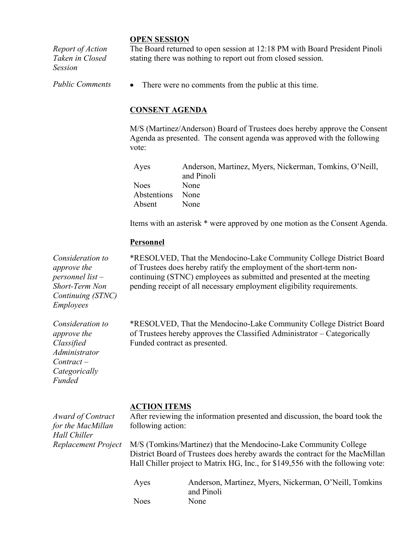#### **OPEN SESSION**

*Report of Action Taken in Closed Session*

The Board returned to open session at 12:18 PM with Board President Pinoli stating there was nothing to report out from closed session.

*Public Comments* • There were no comments from the public at this time.

## **CONSENT AGENDA**

M/S (Martinez/Anderson) Board of Trustees does hereby approve the Consent Agenda as presented. The consent agenda was approved with the following vote:

| Ayes             | Anderson, Martinez, Myers, Nickerman, Tomkins, O'Neill, |
|------------------|---------------------------------------------------------|
|                  | and Pinoli                                              |
| <b>Noes</b>      | <b>None</b>                                             |
| Abstentions None |                                                         |
| Absent           | <b>None</b>                                             |

Items with an asterisk \* were approved by one motion as the Consent Agenda.

### **Personnel**

*Consideration to approve the personnel list – Short-Term Non Continuing (STNC) Employees*

*Consideration to approve the Classified Administrator Contract – Categorically Funded*

\*RESOLVED, That the Mendocino-Lake Community College District Board of Trustees does hereby ratify the employment of the short-term noncontinuing (STNC) employees as submitted and presented at the meeting pending receipt of all necessary employment eligibility requirements.

\*RESOLVED, That the Mendocino-Lake Community College District Board of Trustees hereby approves the Classified Administrator – Categorically Funded contract as presented.

#### **ACTION ITEMS**

*Award of Contract for the MacMillan Hall Chiller Replacement Project* After reviewing the information presented and discussion, the board took the following action:

M/S (Tomkins/Martinez) that the Mendocino-Lake Community College District Board of Trustees does hereby awards the contract for the MacMillan Hall Chiller project to Matrix HG, Inc., for \$149,556 with the following vote:

| Ayes        | Anderson, Martinez, Myers, Nickerman, O'Neill, Tomkins |
|-------------|--------------------------------------------------------|
|             | and Pinoli                                             |
| <b>Noes</b> | None                                                   |